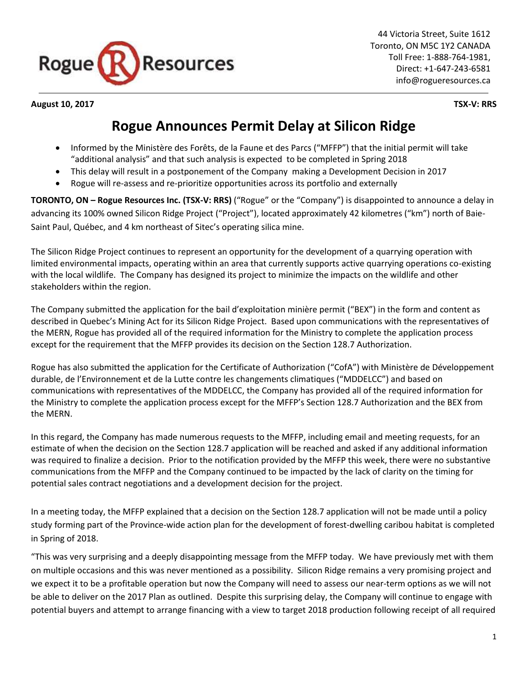

44 Victoria Street, Suite 1612 Toronto, ON M5C 1Y2 CANADA Toll Free: 1-888-764-1981, Direct: +1-647-243-6581 info@rogueresources.ca

**August 10, 2017 TSX-V: RRS**

## **Rogue Announces Permit Delay at Silicon Ridge**

- Informed by the Ministère des Forêts, de la Faune et des Parcs ("MFFP") that the initial permit will take "additional analysis" and that such analysis is expected to be completed in Spring 2018
- This delay will result in a postponement of the Company making a Development Decision in 2017
- Rogue will re-assess and re-prioritize opportunities across its portfolio and externally

**TORONTO, ON – Rogue Resources Inc. (TSX-V: RRS)** ("Rogue" or the "Company") is disappointed to announce a delay in advancing its 100% owned Silicon Ridge Project ("Project"), located approximately 42 kilometres ("km") north of Baie-Saint Paul, Québec, and 4 km northeast of Sitec's operating silica mine.

The Silicon Ridge Project continues to represent an opportunity for the development of a quarrying operation with limited environmental impacts, operating within an area that currently supports active quarrying operations co-existing with the local wildlife. The Company has designed its project to minimize the impacts on the wildlife and other stakeholders within the region.

The Company submitted the application for the bail d'exploitation minière permit ("BEX") in the form and content as described in Quebec's Mining Act for its Silicon Ridge Project. Based upon communications with the representatives of the MERN, Rogue has provided all of the required information for the Ministry to complete the application process except for the requirement that the MFFP provides its decision on the Section 128.7 Authorization.

Rogue has also submitted the application for the Certificate of Authorization ("CofA") with Ministère de Développement durable, de l'Environnement et de la Lutte contre les changements climatiques ("MDDELCC") and based on communications with representatives of the MDDELCC, the Company has provided all of the required information for the Ministry to complete the application process except for the MFFP's Section 128.7 Authorization and the BEX from the MERN.

In this regard, the Company has made numerous requests to the MFFP, including email and meeting requests, for an estimate of when the decision on the Section 128.7 application will be reached and asked if any additional information was required to finalize a decision. Prior to the notification provided by the MFFP this week, there were no substantive communications from the MFFP and the Company continued to be impacted by the lack of clarity on the timing for potential sales contract negotiations and a development decision for the project.

In a meeting today, the MFFP explained that a decision on the Section 128.7 application will not be made until a policy study forming part of the Province-wide action plan for the development of forest-dwelling caribou habitat is completed in Spring of 2018.

"This was very surprising and a deeply disappointing message from the MFFP today. We have previously met with them on multiple occasions and this was never mentioned as a possibility. Silicon Ridge remains a very promising project and we expect it to be a profitable operation but now the Company will need to assess our near-term options as we will not be able to deliver on the 2017 Plan as outlined. Despite this surprising delay, the Company will continue to engage with potential buyers and attempt to arrange financing with a view to target 2018 production following receipt of all required